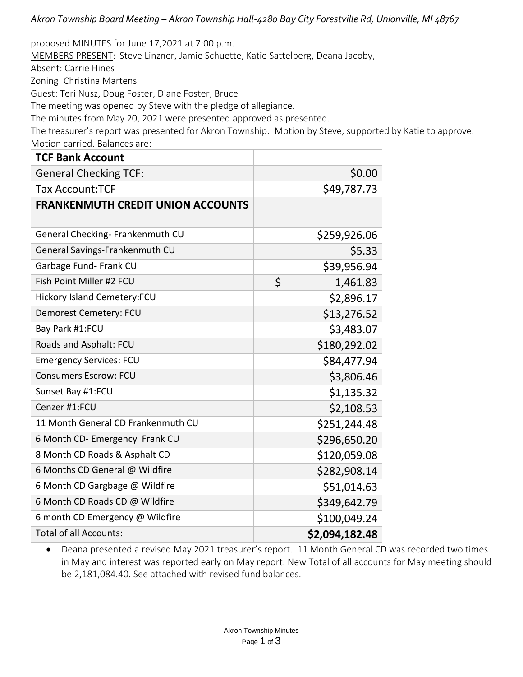*Akron Township Board Meeting – Akron Township Hall-4280 Bay City Forestville Rd, Unionville, MI 48767*

proposed MINUTES for June 17,2021 at 7:00 p.m.

MEMBERS PRESENT: Steve Linzner, Jamie Schuette, Katie Sattelberg, Deana Jacoby,

Absent: Carrie Hines

Zoning: Christina Martens

Guest: Teri Nusz, Doug Foster, Diane Foster, Bruce

The meeting was opened by Steve with the pledge of allegiance.

The minutes from May 20, 2021 were presented approved as presented.

The treasurer's report was presented for Akron Township. Motion by Steve, supported by Katie to approve. Motion carried. Balances are:

| <b>TCF Bank Account</b>                  |                |
|------------------------------------------|----------------|
| <b>General Checking TCF:</b>             | \$0.00         |
| <b>Tax Account:TCF</b>                   | \$49,787.73    |
| <b>FRANKENMUTH CREDIT UNION ACCOUNTS</b> |                |
| General Checking-Frankenmuth CU          | \$259,926.06   |
| General Savings-Frankenmuth CU           | \$5.33         |
| Garbage Fund- Frank CU                   | \$39,956.94    |
| Fish Point Miller #2 FCU                 | \$<br>1,461.83 |
| Hickory Island Cemetery:FCU              | \$2,896.17     |
| Demorest Cemetery: FCU                   | \$13,276.52    |
| Bay Park #1:FCU                          | \$3,483.07     |
| Roads and Asphalt: FCU                   | \$180,292.02   |
| <b>Emergency Services: FCU</b>           | \$84,477.94    |
| <b>Consumers Escrow: FCU</b>             | \$3,806.46     |
| Sunset Bay #1:FCU                        | \$1,135.32     |
| Cenzer #1:FCU                            | \$2,108.53     |
| 11 Month General CD Frankenmuth CU       | \$251,244.48   |
| 6 Month CD- Emergency Frank CU           | \$296,650.20   |
| 8 Month CD Roads & Asphalt CD            | \$120,059.08   |
| 6 Months CD General @ Wildfire           | \$282,908.14   |
| 6 Month CD Gargbage @ Wildfire           | \$51,014.63    |
| 6 Month CD Roads CD @ Wildfire           | \$349,642.79   |
| 6 month CD Emergency @ Wildfire          | \$100,049.24   |
| <b>Total of all Accounts:</b>            | \$2,094,182.48 |

• Deana presented a revised May 2021 treasurer's report. 11 Month General CD was recorded two times in May and interest was reported early on May report. New Total of all accounts for May meeting should be 2,181,084.40. See attached with revised fund balances.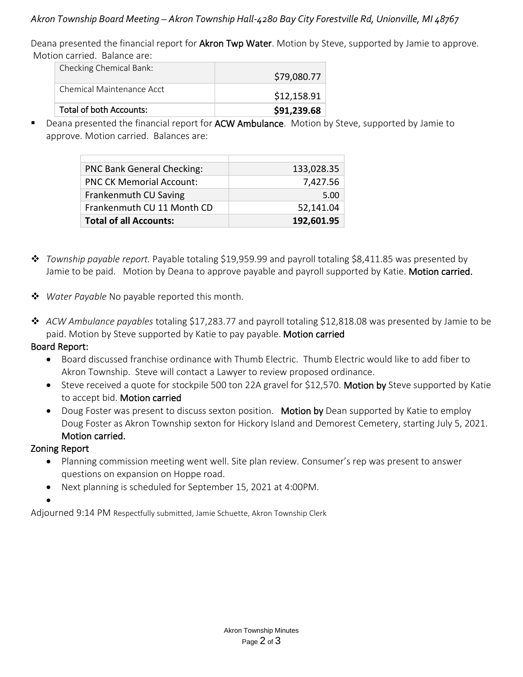## *Akron Township Board Meeting – Akron Township Hall-4280 Bay City Forestville Rd, Unionville, MI 48767*

Deana presented the financial report for **Akron Twp Water**. Motion by Steve, supported by Jamie to approve. Motion carried. Balance are:

| Checking Chemical Bank:   | \$79,080.77 |
|---------------------------|-------------|
| Chemical Maintenance Acct | \$12,158.91 |
| Total of both Accounts:   | \$91,239.68 |

**•** Deana presented the financial report for ACW Ambulance. Motion by Steve, supported by Jamie to approve. Motion carried. Balances are:

| <b>PNC Bank General Checking:</b> | 133,028.35 |
|-----------------------------------|------------|
| <b>PNC CK Memorial Account:</b>   | 7,427.56   |
| Frankenmuth CU Saving             | 5.00       |
| Frankenmuth CU 11 Month CD        | 52,141.04  |
| <b>Total of all Accounts:</b>     | 192,601.95 |

- ❖ *Township payable report.* Payable totaling \$19,959.99 and payroll totaling \$8,411.85 was presented by Jamie to be paid. Motion by Deana to approve payable and payroll supported by Katie. Motion carried.
- ❖ *Water Payable* No payable reported this month.
- ❖ *ACW Ambulance payables* totaling \$17,283.77 and payroll totaling \$12,818.08 was presented by Jamie to be paid. Motion by Steve supported by Katie to pay payable. Motion carried

## Board Report:

- Board discussed franchise ordinance with Thumb Electric. Thumb Electric would like to add fiber to Akron Township. Steve will contact a Lawyer to review proposed ordinance.
- Steve received a quote for stockpile 500 ton 22A gravel for \$12,570. Motion by Steve supported by Katie to accept bid. Motion carried
- Doug Foster was present to discuss sexton position. Motion by Dean supported by Katie to employ Doug Foster as Akron Township sexton for Hickory Island and Demorest Cemetery, starting July 5, 2021. Motion carried.

## Zoning Report

- Planning commission meeting went well. Site plan review. Consumer's rep was present to answer questions on expansion on Hoppe road.
- Next planning is scheduled for September 15, 2021 at 4:00PM.

•

Adjourned 9:14 PM Respectfully submitted, Jamie Schuette, Akron Township Clerk